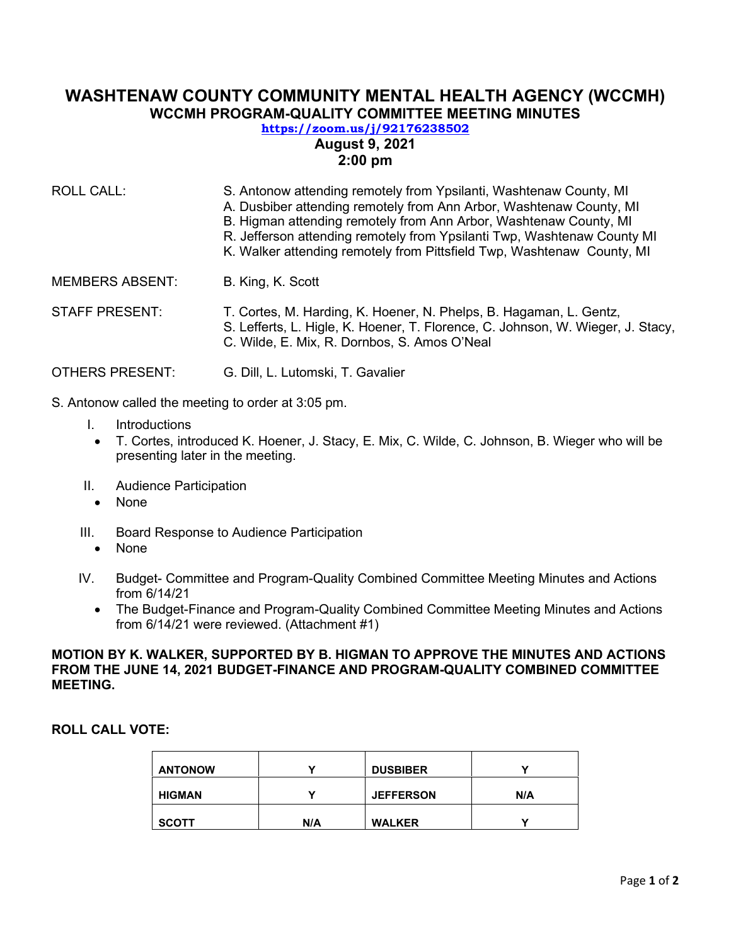# **WASHTENAW COUNTY COMMUNITY MENTAL HEALTH AGENCY (WCCMH) WCCMH PROGRAM-QUALITY COMMITTEE MEETING MINUTES**

## **<https://zoom.us/j/92176238502> August 9, 2021 2:00 pm**

- ROLL CALL: S. Antonow attending remotely from Ypsilanti, Washtenaw County, MI A. Dusbiber attending remotely from Ann Arbor, Washtenaw County, MI B. Higman attending remotely from Ann Arbor, Washtenaw County, MI R. Jefferson attending remotely from Ypsilanti Twp, Washtenaw County MI K. Walker attending remotely from Pittsfield Twp, Washtenaw County, MI MEMBERS ABSENT: B. King, K. Scott STAFF PRESENT: T. Cortes, M. Harding, K. Hoener, N. Phelps, B. Hagaman, L. Gentz, S. Lefferts, L. Higle, K. Hoener, T. Florence, C. Johnson, W. Wieger, J. Stacy, C. Wilde, E. Mix, R. Dornbos, S. Amos O'Neal
- OTHERS PRESENT: G. Dill, L. Lutomski, T. Gavalier
- S. Antonow called the meeting to order at 3:05 pm.
	- I. Introductions
	- T. Cortes, introduced K. Hoener, J. Stacy, E. Mix, C. Wilde, C. Johnson, B. Wieger who will be presenting later in the meeting.
	- II. Audience Participation
		- None
	- III. Board Response to Audience Participation
		- None
	- IV. Budget- Committee and Program-Quality Combined Committee Meeting Minutes and Actions from 6/14/21
		- The Budget-Finance and Program-Quality Combined Committee Meeting Minutes and Actions from 6/14/21 were reviewed. (Attachment #1)

#### **MOTION BY K. WALKER, SUPPORTED BY B. HIGMAN TO APPROVE THE MINUTES AND ACTIONS FROM THE JUNE 14, 2021 BUDGET-FINANCE AND PROGRAM-QUALITY COMBINED COMMITTEE MEETING.**

**ROLL CALL VOTE:** 

| <b>ANTONOW</b> |     | <b>DUSBIBER</b>  |     |
|----------------|-----|------------------|-----|
| <b>HIGMAN</b>  |     | <b>JEFFERSON</b> | N/A |
| <b>SCOTT</b>   | N/A | <b>WALKER</b>    |     |